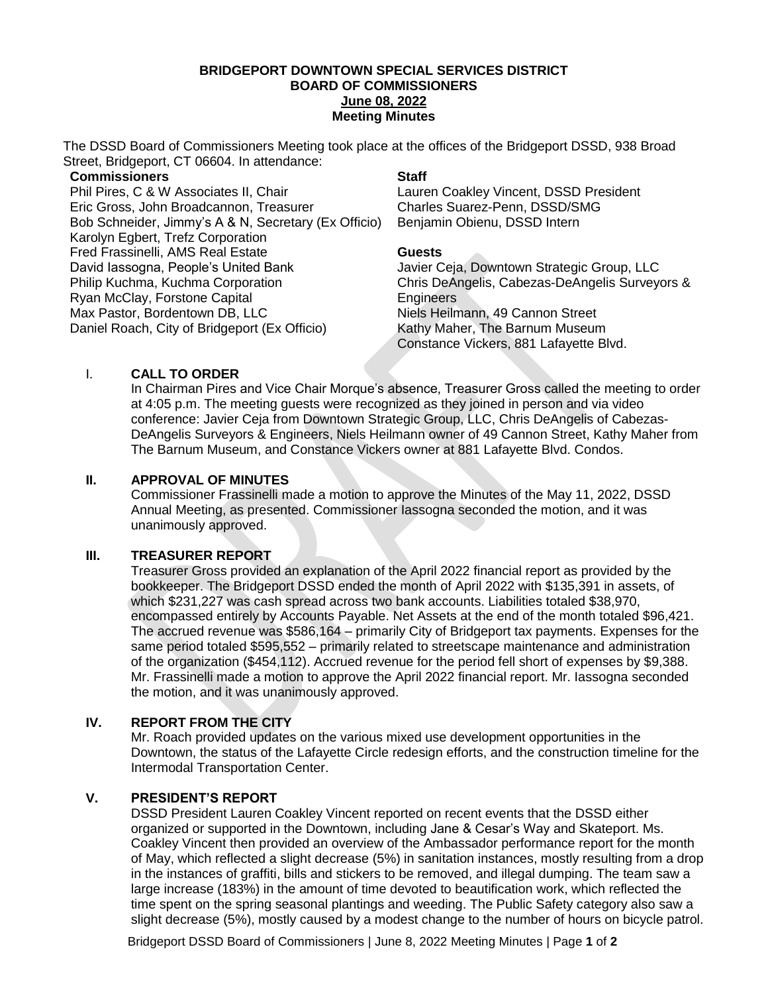#### **BRIDGEPORT DOWNTOWN SPECIAL SERVICES DISTRICT BOARD OF COMMISSIONERS June 08, 2022 Meeting Minutes**

The DSSD Board of Commissioners Meeting took place at the offices of the Bridgeport DSSD, 938 Broad Street, Bridgeport, CT 06604. In attendance:

### **Commissioners**

Phil Pires, C & W Associates II, Chair Eric Gross, John Broadcannon, Treasurer Bob Schneider, Jimmy's A & N, Secretary (Ex Officio) Karolyn Egbert, Trefz Corporation Fred Frassinelli, AMS Real Estate David Iassogna, People's United Bank Philip Kuchma, Kuchma Corporation Ryan McClay, Forstone Capital Max Pastor, Bordentown DB, LLC Daniel Roach, City of Bridgeport (Ex Officio)

# **Staff**

Lauren Coakley Vincent, DSSD President Charles Suarez-Penn, DSSD/SMG Benjamin Obienu, DSSD Intern

## **Guests**

Javier Ceja, Downtown Strategic Group, LLC Chris DeAngelis, Cabezas-DeAngelis Surveyors & **Engineers** Niels Heilmann, 49 Cannon Street Kathy Maher, The Barnum Museum Constance Vickers, 881 Lafayette Blvd.

# I. **CALL TO ORDER**

In Chairman Pires and Vice Chair Morque's absence, Treasurer Gross called the meeting to order at 4:05 p.m. The meeting guests were recognized as they joined in person and via video conference: Javier Ceja from Downtown Strategic Group, LLC, Chris DeAngelis of Cabezas-DeAngelis Surveyors & Engineers, Niels Heilmann owner of 49 Cannon Street, Kathy Maher from The Barnum Museum, and Constance Vickers owner at 881 Lafayette Blvd. Condos.

# **II. APPROVAL OF MINUTES**

Commissioner Frassinelli made a motion to approve the Minutes of the May 11, 2022, DSSD Annual Meeting, as presented. Commissioner Iassogna seconded the motion, and it was unanimously approved.

# **III. TREASURER REPORT**

Treasurer Gross provided an explanation of the April 2022 financial report as provided by the bookkeeper. The Bridgeport DSSD ended the month of April 2022 with \$135,391 in assets, of which \$231,227 was cash spread across two bank accounts. Liabilities totaled \$38,970, encompassed entirely by Accounts Payable. Net Assets at the end of the month totaled \$96,421. The accrued revenue was \$586,164 – primarily City of Bridgeport tax payments. Expenses for the same period totaled \$595,552 – primarily related to streetscape maintenance and administration of the organization (\$454,112). Accrued revenue for the period fell short of expenses by \$9,388. Mr. Frassinelli made a motion to approve the April 2022 financial report. Mr. Iassogna seconded the motion, and it was unanimously approved.

# **IV. REPORT FROM THE CITY**

Mr. Roach provided updates on the various mixed use development opportunities in the Downtown, the status of the Lafayette Circle redesign efforts, and the construction timeline for the Intermodal Transportation Center.

## **V. PRESIDENT'S REPORT**

DSSD President Lauren Coakley Vincent reported on recent events that the DSSD either organized or supported in the Downtown, including Jane & Cesar's Way and Skateport. Ms. Coakley Vincent then provided an overview of the Ambassador performance report for the month of May, which reflected a slight decrease (5%) in sanitation instances, mostly resulting from a drop in the instances of graffiti, bills and stickers to be removed, and illegal dumping. The team saw a large increase (183%) in the amount of time devoted to beautification work, which reflected the time spent on the spring seasonal plantings and weeding. The Public Safety category also saw a slight decrease (5%), mostly caused by a modest change to the number of hours on bicycle patrol.

Bridgeport DSSD Board of Commissioners | June 8, 2022 Meeting Minutes | Page **1** of **2**